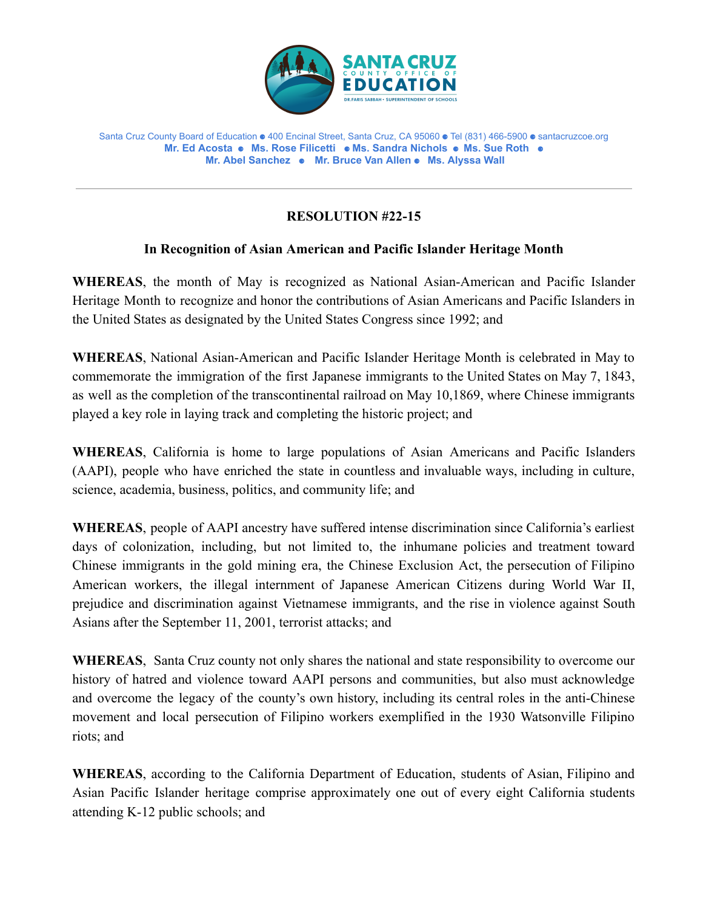

Santa Cruz County Board of Education ⚈ 400 Encinal Street, Santa Cruz, CA 95060 ⚈ Tel (831) 466-5900 ⚈ santacruzcoe.org **Mr. Ed Acosta** ⚈ **Ms. Rose Filicetti** ⚈ **Ms. Sandra Nichols** ⚈ **Ms. Sue Roth** ⚈ **Mr. Abel Sanchez** ⚈ **Mr. Bruce Van Allen** ⚈ **Ms. Alyssa Wall**

## **RESOLUTION #22-15**

## **In Recognition of Asian American and Pacific Islander Heritage Month**

**WHEREAS**, the month of May is recognized as National Asian-American and Pacific Islander Heritage Month to recognize and honor the contributions of Asian Americans and Pacific Islanders in the United States as designated by the United States Congress since 1992; and

**WHEREAS**, National Asian-American and Pacific Islander Heritage Month is celebrated in May to commemorate the immigration of the first Japanese immigrants to the United States on May 7, 1843, as well as the completion of the transcontinental railroad on May 10,1869, where Chinese immigrants played a key role in laying track and completing the historic project; and

**WHEREAS**, California is home to large populations of Asian Americans and Pacific Islanders (AAPI), people who have enriched the state in countless and invaluable ways, including in culture, science, academia, business, politics, and community life; and

**WHEREAS**, people of AAPI ancestry have suffered intense discrimination since California's earliest days of colonization, including, but not limited to, the inhumane policies and treatment toward Chinese immigrants in the gold mining era, the Chinese Exclusion Act, the persecution of Filipino American workers, the illegal internment of Japanese American Citizens during World War II, prejudice and discrimination against Vietnamese immigrants, and the rise in violence against South Asians after the September 11, 2001, terrorist attacks; and

**WHEREAS**, Santa Cruz county not only shares the national and state responsibility to overcome our history of hatred and violence toward AAPI persons and communities, but also must acknowledge and overcome the legacy of the county's own history, including its central roles in the anti-Chinese movement and local persecution of Filipino workers exemplified in the 1930 Watsonville Filipino riots; and

**WHEREAS**, according to the California Department of Education, students of Asian, Filipino and Asian Pacific Islander heritage comprise approximately one out of every eight California students attending K-12 public schools; and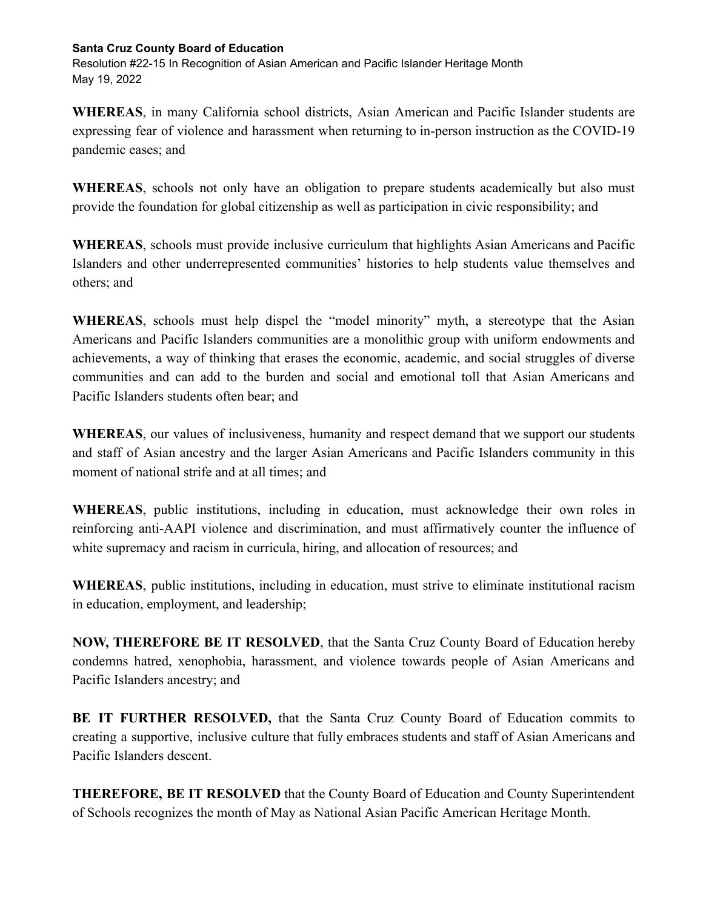## **Santa Cruz County Board of Education**

Resolution #22-15 In Recognition of Asian American and Pacific Islander Heritage Month May 19, 2022

**WHEREAS**, in many California school districts, Asian American and Pacific Islander students are expressing fear of violence and harassment when returning to in-person instruction as the COVID-19 pandemic eases; and

**WHEREAS**, schools not only have an obligation to prepare students academically but also must provide the foundation for global citizenship as well as participation in civic responsibility; and

**WHEREAS**, schools must provide inclusive curriculum that highlights Asian Americans and Pacific Islanders and other underrepresented communities' histories to help students value themselves and others; and

**WHEREAS**, schools must help dispel the "model minority" myth, a stereotype that the Asian Americans and Pacific Islanders communities are a monolithic group with uniform endowments and achievements, a way of thinking that erases the economic, academic, and social struggles of diverse communities and can add to the burden and social and emotional toll that Asian Americans and Pacific Islanders students often bear; and

**WHEREAS**, our values of inclusiveness, humanity and respect demand that we support our students and staff of Asian ancestry and the larger Asian Americans and Pacific Islanders community in this moment of national strife and at all times; and

**WHEREAS**, public institutions, including in education, must acknowledge their own roles in reinforcing anti-AAPI violence and discrimination, and must affirmatively counter the influence of white supremacy and racism in curricula, hiring, and allocation of resources; and

**WHEREAS**, public institutions, including in education, must strive to eliminate institutional racism in education, employment, and leadership;

**NOW, THEREFORE BE IT RESOLVED**, that the Santa Cruz County Board of Education hereby condemns hatred, xenophobia, harassment, and violence towards people of Asian Americans and Pacific Islanders ancestry; and

**BE IT FURTHER RESOLVED,** that the Santa Cruz County Board of Education commits to creating a supportive, inclusive culture that fully embraces students and staff of Asian Americans and Pacific Islanders descent.

**THEREFORE, BE IT RESOLVED** that the County Board of Education and County Superintendent of Schools recognizes the month of May as National Asian Pacific American Heritage Month.